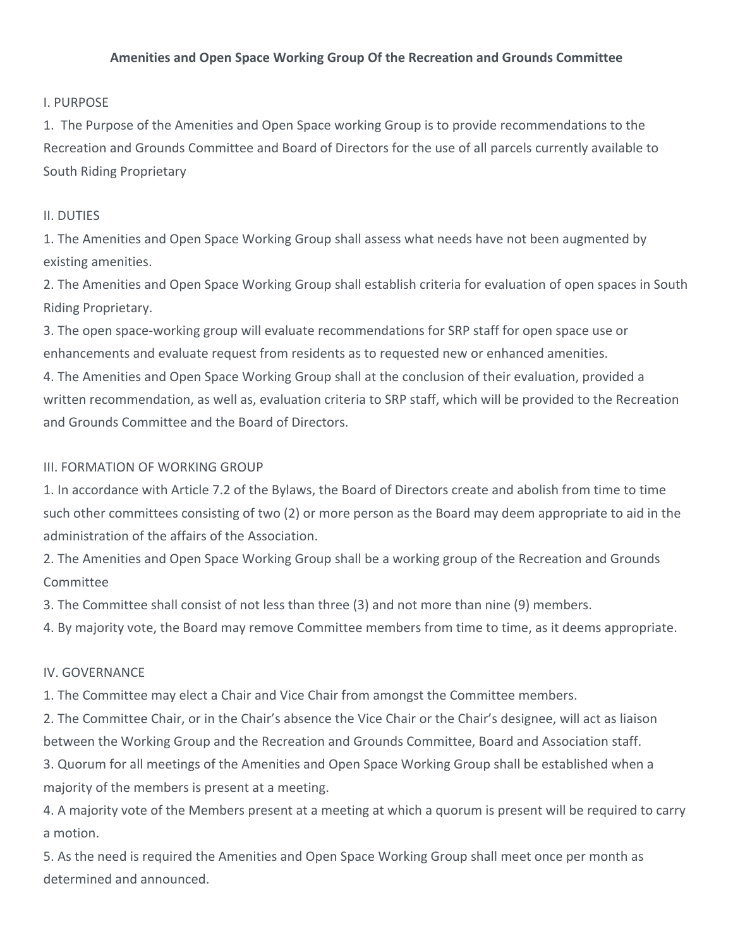## Amenities and Open Space Working Group Of the Recreation and Grounds Committee

## **I. PURPOSE**

1. The Purpose of the Amenities and Open Space working Group is to provide recommendations to the Recreation and Grounds Committee and Board of Directors for the use of all parcels currently available to South Riding Proprietary

### II. DUTIES

1. The Amenities and Open Space Working Group shall assess what needs have not been augmented by existing amenities.

2. The Amenities and Open Space Working Group shall establish criteria for evaluation of open spaces in South Riding Proprietary.

3. The open space-working group will evaluate recommendations for SRP staff for open space use or enhancements and evaluate request from residents as to requested new or enhanced amenities.

4. The Amenities and Open Space Working Group shall at the conclusion of their evaluation, provided a written recommendation, as well as, evaluation criteria to SRP staff, which will be provided to the Recreation and Grounds Committee and the Board of Directors.

## III. FORMATION OF WORKING GROUP

1. In accordance with Article 7.2 of the Bylaws, the Board of Directors create and abolish from time to time such other committees consisting of two (2) or more person as the Board may deem appropriate to aid in the administration of the affairs of the Association.

2. The Amenities and Open Space Working Group shall be a working group of the Recreation and Grounds **Committee** 

3. The Committee shall consist of not less than three (3) and not more than nine (9) members.

4. By majority vote, the Board may remove Committee members from time to time, as it deems appropriate.

# IV. GOVERNANCE

1. The Committee may elect a Chair and Vice Chair from amongst the Committee members.

2. The Committee Chair, or in the Chair's absence the Vice Chair or the Chair's designee, will act as liaison between the Working Group and the Recreation and Grounds Committee, Board and Association staff.

3. Quorum for all meetings of the Amenities and Open Space Working Group shall be established when a majority of the members is present at a meeting.

4. A majority vote of the Members present at a meeting at which a quorum is present will be required to carry a motion.

5. As the need is required the Amenities and Open Space Working Group shall meet once per month as determined and announced.